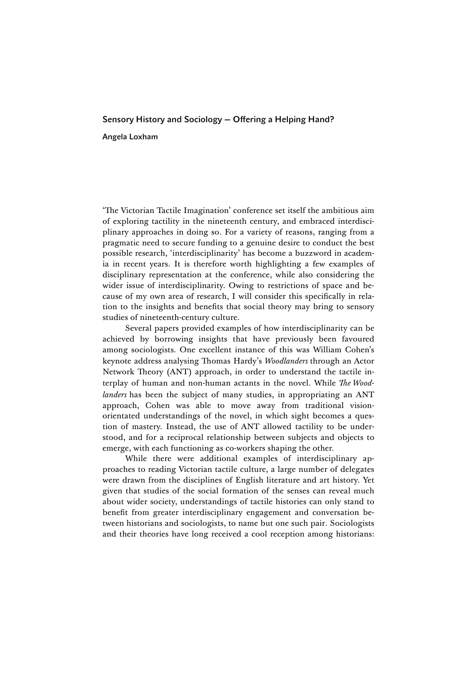## Sensory History and Sociology — Offering a Helping Hand? Angela Loxham

'The Victorian Tactile Imagination' conference set itself the ambitious aim of exploring tactility in the nineteenth century, and embraced interdisciplinary approaches in doing so. For a variety of reasons, ranging from a pragmatic need to secure funding to a genuine desire to conduct the best possible research, 'interdisciplinarity' has become a buzzword in academia in recent years. It is therefore worth highlighting a few examples of disciplinary representation at the conference, while also considering the wider issue of interdisciplinarity. Owing to restrictions of space and because of my own area of research, I will consider this specifically in relation to the insights and benefits that social theory may bring to sensory studies of nineteenth-century culture.

Several papers provided examples of how interdisciplinarity can be achieved by borrowing insights that have previously been favoured among sociologists. One excellent instance of this was William Cohen's keynote address analysing Thomas Hardy's *Woodlanders* through an Actor Network Theory (ANT) approach, in order to understand the tactile interplay of human and non-human actants in the novel. While *The Woodlanders* has been the subject of many studies, in appropriating an ANT approach, Cohen was able to move away from traditional visionorientated understandings of the novel, in which sight becomes a question of mastery. Instead, the use of ANT allowed tactility to be understood, and for a reciprocal relationship between subjects and objects to emerge, with each functioning as co-workers shaping the other.

While there were additional examples of interdisciplinary approaches to reading Victorian tactile culture, a large number of delegates were drawn from the disciplines of English literature and art history. Yet given that studies of the social formation of the senses can reveal much about wider society, understandings of tactile histories can only stand to benefit from greater interdisciplinary engagement and conversation between historians and sociologists, to name but one such pair. Sociologists and their theories have long received a cool reception among historians: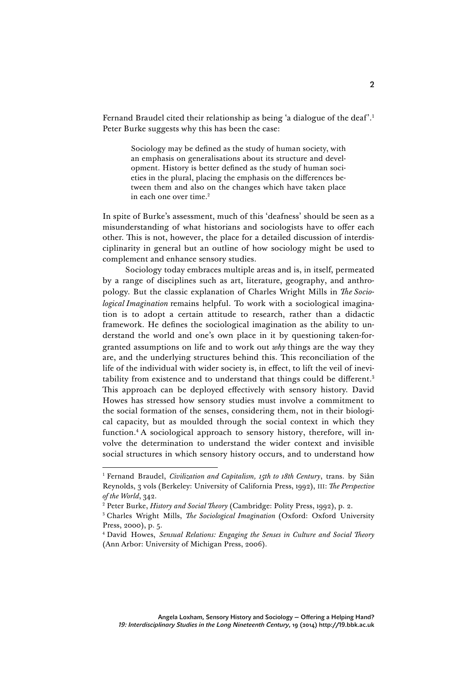Fernand Braudel cited their relationship as being 'a dialogue of the deaf'. 1 Peter Burke suggests why this has been the case:

> Sociology may be defined as the study of human society, with an emphasis on generalisations about its structure and development. History is better defined as the study of human societies in the plural, placing the emphasis on the differences between them and also on the changes which have taken place in each one over time.<sup>2</sup>

In spite of Burke's assessment, much of this 'deafness' should be seen as a misunderstanding of what historians and sociologists have to offer each other. This is not, however, the place for a detailed discussion of interdisciplinarity in general but an outline of how sociology might be used to complement and enhance sensory studies.

Sociology today embraces multiple areas and is, in itself, permeated by a range of disciplines such as art, literature, geography, and anthropology. But the classic explanation of Charles Wright Mills in *The Sociological Imagination* remains helpful. To work with a sociological imagination is to adopt a certain attitude to research, rather than a didactic framework. He defines the sociological imagination as the ability to understand the world and one's own place in it by questioning taken-forgranted assumptions on life and to work out *why* things are the way they are, and the underlying structures behind this. This reconciliation of the life of the individual with wider society is, in effect, to lift the veil of inevitability from existence and to understand that things could be different.<sup>3</sup> This approach can be deployed effectively with sensory history. David Howes has stressed how sensory studies must involve a commitment to the social formation of the senses, considering them, not in their biological capacity, but as moulded through the social context in which they function.<sup>4</sup> A sociological approach to sensory history, therefore, will involve the determination to understand the wider context and invisible social structures in which sensory history occurs, and to understand how

 <sup>1</sup> Fernand Braudel, *Civilization and Capitalism, 15th to 18th Century*, trans. by Siân Reynolds, 3 vols (Berkeley: University of California Press, 1992), III: *The Perspective of the World*, 342.

<sup>2</sup> Peter Burke, *History and Social Theory* (Cambridge: Polity Press, 1992), p. 2.

<sup>3</sup> Charles Wright Mills, *The Sociological Imagination* (Oxford: Oxford University Press, 2000), p. 5.

<sup>4</sup> David Howes, *Sensual Relations: Engaging the Senses in Culture and Social Theory*  (Ann Arbor: University of Michigan Press, 2006).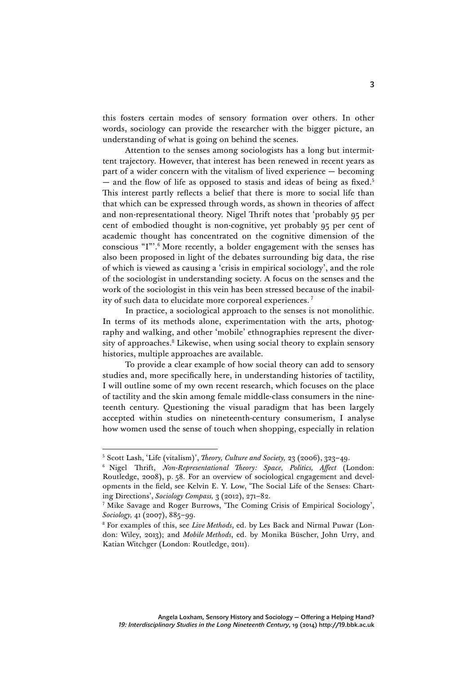this fosters certain modes of sensory formation over others. In other words, sociology can provide the researcher with the bigger picture, an understanding of what is going on behind the scenes.

Attention to the senses among sociologists has a long but intermittent trajectory. However, that interest has been renewed in recent years as part of a wider concern with the vitalism of lived experience — becoming  $-$  and the flow of life as opposed to stasis and ideas of being as fixed.<sup>5</sup> This interest partly reflects a belief that there is more to social life than that which can be expressed through words, as shown in theories of affect and non-representational theory. Nigel Thrift notes that 'probably 95 per cent of embodied thought is non-cognitive, yet probably 95 per cent of academic thought has concentrated on the cognitive dimension of the conscious "I"'. <sup>6</sup> More recently, a bolder engagement with the senses has also been proposed in light of the debates surrounding big data, the rise of which is viewed as causing a 'crisis in empirical sociology', and the role of the sociologist in understanding society. A focus on the senses and the work of the sociologist in this vein has been stressed because of the inability of such data to elucidate more corporeal experiences. <sup>7</sup>

In practice, a sociological approach to the senses is not monolithic. In terms of its methods alone, experimentation with the arts, photography and walking, and other 'mobile' ethnographies represent the diversity of approaches.<sup>8</sup> Likewise, when using social theory to explain sensory histories, multiple approaches are available.

To provide a clear example of how social theory can add to sensory studies and, more specifically here, in understanding histories of tactility, I will outline some of my own recent research, which focuses on the place of tactility and the skin among female middle-class consumers in the nineteenth century. Questioning the visual paradigm that has been largely accepted within studies on nineteenth-century consumerism, I analyse how women used the sense of touch when shopping, especially in relation

 <sup>5</sup> Scott Lash, 'Life (vitalism)', *Theory, Culture and Society,* 23 (2006), 323–49.

<sup>6</sup> Nigel Thrift, *Non-Representational Theory: Space, Politics, Affect* (London: Routledge, 2008), p. 58. For an overview of sociological engagement and developments in the field, see Kelvin E. Y. Low, 'The Social Life of the Senses: Charting Directions', *Sociology Compass,* 3 (2012), 271–82.

<sup>7</sup> Mike Savage and Roger Burrows, 'The Coming Crisis of Empirical Sociology', *Sociology,* 41 (2007), 885–99.

<sup>8</sup> For examples of this, see *Live Methods*, ed. by Les Back and Nirmal Puwar (London: Wiley, 2013); and *Mobile Methods*, ed. by Monika Büscher, John Urry, and Katian Witchger (London: Routledge, 2011).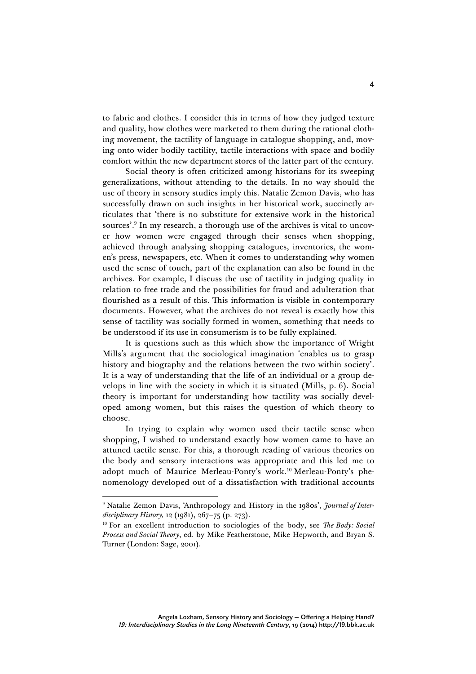to fabric and clothes. I consider this in terms of how they judged texture and quality, how clothes were marketed to them during the rational clothing movement, the tactility of language in catalogue shopping, and, moving onto wider bodily tactility, tactile interactions with space and bodily comfort within the new department stores of the latter part of the century.

Social theory is often criticized among historians for its sweeping generalizations, without attending to the details. In no way should the use of theory in sensory studies imply this. Natalie Zemon Davis, who has successfully drawn on such insights in her historical work, succinctly articulates that 'there is no substitute for extensive work in the historical sources'. <sup>9</sup> In my research, a thorough use of the archives is vital to uncover how women were engaged through their senses when shopping, achieved through analysing shopping catalogues, inventories, the women's press, newspapers, etc. When it comes to understanding why women used the sense of touch, part of the explanation can also be found in the archives. For example, I discuss the use of tactility in judging quality in relation to free trade and the possibilities for fraud and adulteration that flourished as a result of this. This information is visible in contemporary documents. However, what the archives do not reveal is exactly how this sense of tactility was socially formed in women, something that needs to be understood if its use in consumerism is to be fully explained.

It is questions such as this which show the importance of Wright Mills's argument that the sociological imagination 'enables us to grasp history and biography and the relations between the two within society'. It is a way of understanding that the life of an individual or a group develops in line with the society in which it is situated (Mills, p. 6). Social theory is important for understanding how tactility was socially developed among women, but this raises the question of which theory to choose.

In trying to explain why women used their tactile sense when shopping, I wished to understand exactly how women came to have an attuned tactile sense. For this, a thorough reading of various theories on the body and sensory interactions was appropriate and this led me to adopt much of Maurice Merleau-Ponty's work.<sup>10</sup> Merleau-Ponty's phenomenology developed out of a dissatisfaction with traditional accounts

 <sup>9</sup> Natalie Zemon Davis, 'Anthropology and History in the 1980s', *Journal of Interdisciplinary History,* 12 (1981), 267–75 (p. 273).

<sup>10</sup> For an excellent introduction to sociologies of the body, see *The Body: Social Process and Social Theory*, ed. by Mike Featherstone, Mike Hepworth, and Bryan S. Turner (London: Sage, 2001).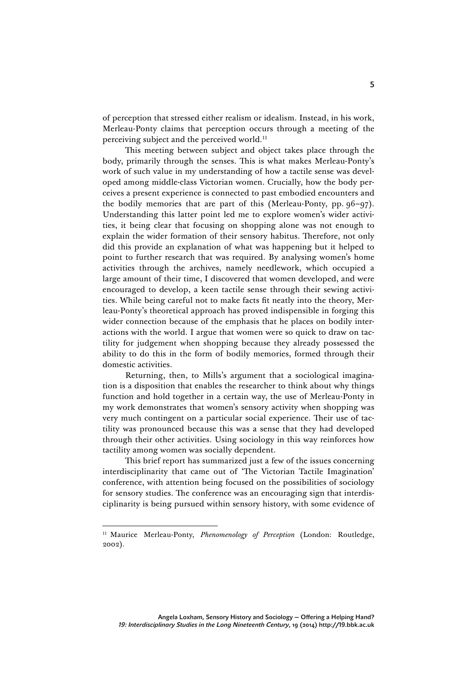of perception that stressed either realism or idealism. Instead, in his work, Merleau-Ponty claims that perception occurs through a meeting of the perceiving subject and the perceived world.<sup>11</sup>

This meeting between subject and object takes place through the body, primarily through the senses. This is what makes Merleau-Ponty's work of such value in my understanding of how a tactile sense was developed among middle-class Victorian women. Crucially, how the body perceives a present experience is connected to past embodied encounters and the bodily memories that are part of this (Merleau-Ponty, pp. 96–97). Understanding this latter point led me to explore women's wider activities, it being clear that focusing on shopping alone was not enough to explain the wider formation of their sensory habitus. Therefore, not only did this provide an explanation of what was happening but it helped to point to further research that was required. By analysing women's home activities through the archives, namely needlework, which occupied a large amount of their time, I discovered that women developed, and were encouraged to develop, a keen tactile sense through their sewing activities. While being careful not to make facts fit neatly into the theory, Merleau-Ponty's theoretical approach has proved indispensible in forging this wider connection because of the emphasis that he places on bodily interactions with the world. I argue that women were so quick to draw on tactility for judgement when shopping because they already possessed the ability to do this in the form of bodily memories, formed through their domestic activities.

Returning, then, to Mills's argument that a sociological imagination is a disposition that enables the researcher to think about why things function and hold together in a certain way, the use of Merleau-Ponty in my work demonstrates that women's sensory activity when shopping was very much contingent on a particular social experience. Their use of tactility was pronounced because this was a sense that they had developed through their other activities. Using sociology in this way reinforces how tactility among women was socially dependent.

This brief report has summarized just a few of the issues concerning interdisciplinarity that came out of 'The Victorian Tactile Imagination' conference, with attention being focused on the possibilities of sociology for sensory studies. The conference was an encouraging sign that interdisciplinarity is being pursued within sensory history, with some evidence of

<sup>&</sup>lt;sup>11</sup> Maurice Merleau-Ponty, *Phenomenology of Perception* (London: Routledge, 2002).